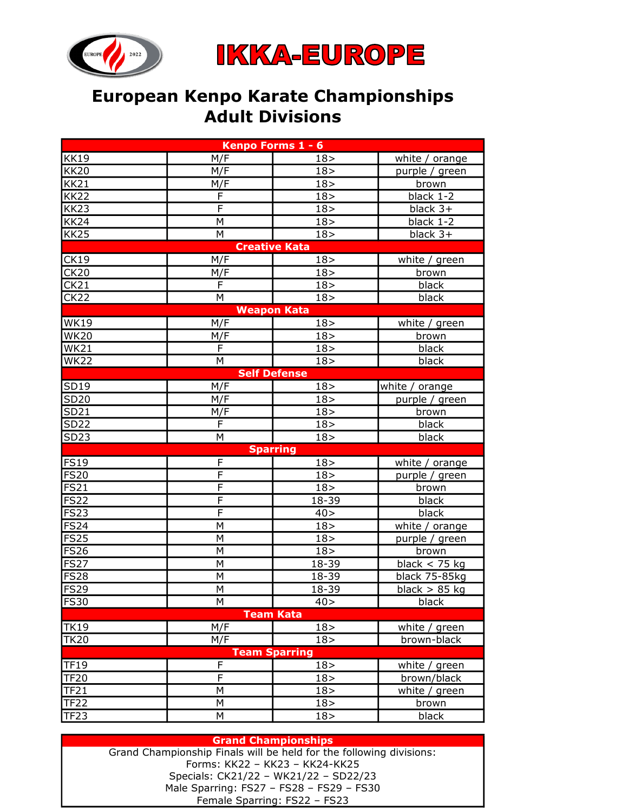



## European Kenpo Karate Championships Adult Divisions

| Kenpo Forms 1 - 6    |                         |                 |                 |  |  |  |  |  |  |  |
|----------------------|-------------------------|-----------------|-----------------|--|--|--|--|--|--|--|
| <b>KK19</b>          | M/F                     | 18 >            | white / orange  |  |  |  |  |  |  |  |
| <b>KK20</b>          | M/F                     | 18 >            | purple / green  |  |  |  |  |  |  |  |
| <b>KK21</b>          | M/F                     | 18 >            | brown           |  |  |  |  |  |  |  |
| <b>KK22</b>          | F                       | 18 >            | black 1-2       |  |  |  |  |  |  |  |
| <b>KK23</b>          | $\overline{\mathsf{F}}$ | 18 >            | black $3+$      |  |  |  |  |  |  |  |
| <b>KK24</b>          | М                       | 18 >            | black 1-2       |  |  |  |  |  |  |  |
| <b>KK25</b>          | М                       | 18 >            | black 3+        |  |  |  |  |  |  |  |
| <b>Creative Kata</b> |                         |                 |                 |  |  |  |  |  |  |  |
| CK19                 | M/F                     | 18 >            | white / green   |  |  |  |  |  |  |  |
| CK20                 | M/F                     | 18 >            | brown           |  |  |  |  |  |  |  |
| CK21                 | F                       | 18 >            | black           |  |  |  |  |  |  |  |
| <b>CK22</b>          | М                       | 18 >            | black           |  |  |  |  |  |  |  |
| <b>Weapon Kata</b>   |                         |                 |                 |  |  |  |  |  |  |  |
| <b>WK19</b>          | M/F                     | 18 >            | white / green   |  |  |  |  |  |  |  |
| <b>WK20</b>          | M/F                     | 18 >            | brown           |  |  |  |  |  |  |  |
| <b>WK21</b>          | F                       | 18 >            | black           |  |  |  |  |  |  |  |
| <b>WK22</b>          | M                       | 18 >            | black           |  |  |  |  |  |  |  |
| <b>Self Defense</b>  |                         |                 |                 |  |  |  |  |  |  |  |
| SD19                 | M/F                     | 18 >            | white / orange  |  |  |  |  |  |  |  |
| SD20                 | M/F                     | 18 >            | purple / green  |  |  |  |  |  |  |  |
| SD21                 | M/F                     | 18 >            | brown           |  |  |  |  |  |  |  |
| <b>SD22</b>          | F                       | 18 >            | black           |  |  |  |  |  |  |  |
| SD23                 | М                       | 18 >            | black           |  |  |  |  |  |  |  |
|                      |                         | <b>Sparring</b> |                 |  |  |  |  |  |  |  |
| <b>FS19</b>          | F                       | 18 >            | white / orange  |  |  |  |  |  |  |  |
| <b>FS20</b>          | $\overline{F}$          | 18 >            | purple / green  |  |  |  |  |  |  |  |
| <b>FS21</b>          | F                       | 18 >            | brown           |  |  |  |  |  |  |  |
| <b>FS22</b>          | F                       | 18-39           | black           |  |  |  |  |  |  |  |
| FS23                 | F                       | 40 >            | black           |  |  |  |  |  |  |  |
| FS24                 | Μ                       | 18 >            | white / orange  |  |  |  |  |  |  |  |
| <b>FS25</b>          | Μ                       | 18 >            | purple / green  |  |  |  |  |  |  |  |
| <b>FS26</b>          | М                       | 18 >            | brown           |  |  |  |  |  |  |  |
| <b>FS27</b>          | М                       | 18-39           | black $<$ 75 kg |  |  |  |  |  |  |  |
| <b>FS28</b>          | M                       | 18-39           | black 75-85kg   |  |  |  |  |  |  |  |
| <b>FS29</b>          | М                       | 18-39           | black $> 85$ kg |  |  |  |  |  |  |  |
| F <sub>S30</sub>     | M                       | 40 >            | black           |  |  |  |  |  |  |  |
| <b>Team Kata</b>     |                         |                 |                 |  |  |  |  |  |  |  |
| <b>TK19</b>          | M/F                     | 18 >            | white / green   |  |  |  |  |  |  |  |
| <b>TK20</b>          | M/F                     | 18 >            | brown-black     |  |  |  |  |  |  |  |
| <b>Team Sparring</b> |                         |                 |                 |  |  |  |  |  |  |  |
| <b>TF19</b>          | F                       | 18>             | white / green   |  |  |  |  |  |  |  |
| <b>TF20</b>          | F                       | 18 >            | brown/black     |  |  |  |  |  |  |  |
| <b>TF21</b>          | Μ                       | 18 >            | white / green   |  |  |  |  |  |  |  |
| <b>TF22</b>          | М                       | 18 >            | brown           |  |  |  |  |  |  |  |
| TF23                 | М                       | 18 >            | black           |  |  |  |  |  |  |  |

## Grand Championships

Specials: CK21/22 – WK21/22 – SD22/23 Male Sparring: FS27 – FS28 – FS29 – FS30 Female Sparring: FS22 – FS23 Grand Championship Finals will be held for the following divisions: Forms: KK22 – KK23 – KK24-KK25